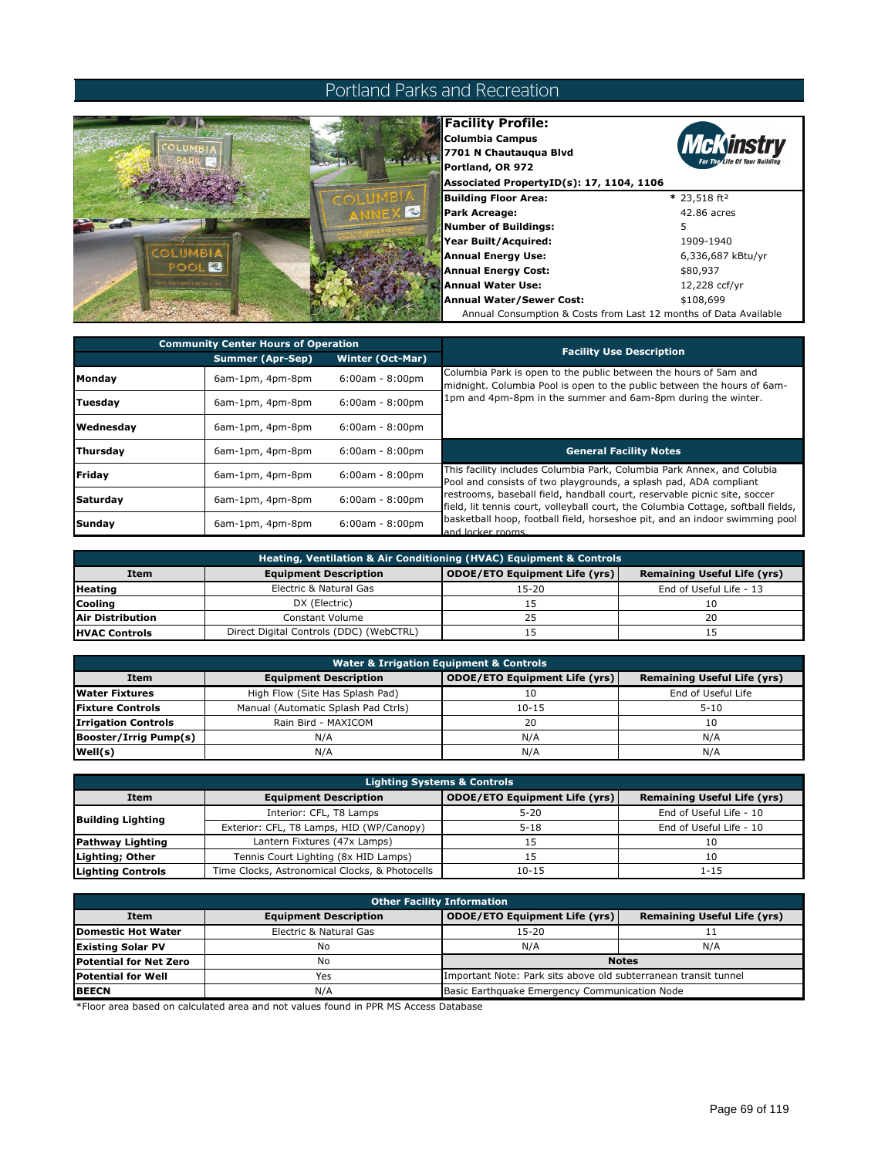## Portland Parks and Recreation



| <b>Facility Profile:</b><br><b>Columbia Campus</b><br>7701 N Chautaugua Blvd<br>Portland, OR 972 | <i><b>McKinstry</b></i><br>For The Life Of Your Building |  |  |  |
|--------------------------------------------------------------------------------------------------|----------------------------------------------------------|--|--|--|
| Associated PropertyID(s): 17, 1104, 1106                                                         |                                                          |  |  |  |
| <b>Building Floor Area:</b>                                                                      | * 23,518 ft <sup>2</sup>                                 |  |  |  |
| <b>Park Acreage:</b>                                                                             | 42.86 acres                                              |  |  |  |
| <b>Number of Buildings:</b>                                                                      | 5                                                        |  |  |  |
| Year Built/Acquired:                                                                             | 1909-1940                                                |  |  |  |
| <b>Annual Energy Use:</b>                                                                        | 6,336,687 kBtu/yr                                        |  |  |  |
| <b>Annual Energy Cost:</b>                                                                       | \$80,937                                                 |  |  |  |
| <b>Annual Water Use:</b>                                                                         | 12,228 ccf/yr                                            |  |  |  |
| <b>Annual Water/Sewer Cost:</b>                                                                  | \$108,699                                                |  |  |  |
| Annual Consumption & Costs from Last 12 months of Data Available                                 |                                                          |  |  |  |

| <b>Community Center Hours of Operation</b> |                  |                         |                                                                                                                                                                |  |
|--------------------------------------------|------------------|-------------------------|----------------------------------------------------------------------------------------------------------------------------------------------------------------|--|
| <b>Summer (Apr-Sep)</b>                    |                  | <b>Winter (Oct-Mar)</b> | <b>Facility Use Description</b>                                                                                                                                |  |
| Monday                                     | 6am-1pm, 4pm-8pm | $6:00am - 8:00pm$       | Columbia Park is open to the public between the hours of 5am and<br>midnight. Columbia Pool is open to the public between the hours of 6am-                    |  |
| Tuesday                                    | 6am-1pm, 4pm-8pm | $6:00am - 8:00pm$       | 1pm and 4pm-8pm in the summer and 6am-8pm during the winter.                                                                                                   |  |
| Wednesday                                  | 6am-1pm, 4pm-8pm | $6:00am - 8:00pm$       |                                                                                                                                                                |  |
| Thursday                                   | 6am-1pm, 4pm-8pm | $6:00am - 8:00pm$       | <b>General Facility Notes</b>                                                                                                                                  |  |
| Friday                                     | 6am-1pm, 4pm-8pm | $6:00am - 8:00pm$       | This facility includes Columbia Park, Columbia Park Annex, and Colubia<br>Pool and consists of two playgrounds, a splash pad, ADA compliant                    |  |
| Saturday                                   | 6am-1pm, 4pm-8pm | $6:00am - 8:00pm$       | restrooms, baseball field, handball court, reservable picnic site, soccer<br>field, lit tennis court, volleyball court, the Columbia Cottage, softball fields, |  |
| Sunday                                     | 6am-1pm, 4pm-8pm | $6:00am - 8:00pm$       | basketball hoop, football field, horseshoe pit, and an indoor swimming pool<br>and locker rooms.                                                               |  |

| <b>Heating, Ventilation &amp; Air Conditioning (HVAC) Equipment &amp; Controls</b> |                                         |                                      |                                    |  |  |
|------------------------------------------------------------------------------------|-----------------------------------------|--------------------------------------|------------------------------------|--|--|
| <b>Item</b>                                                                        | <b>Equipment Description</b>            | <b>ODOE/ETO Equipment Life (yrs)</b> | <b>Remaining Useful Life (yrs)</b> |  |  |
| <b>Heating</b>                                                                     | Electric & Natural Gas                  | 15-20                                | End of Useful Life - 13            |  |  |
| <b>Cooling</b>                                                                     | DX (Electric)                           |                                      |                                    |  |  |
| <b>Air Distribution</b>                                                            | Constant Volume                         |                                      |                                    |  |  |
| <b>HVAC Controls</b>                                                               | Direct Digital Controls (DDC) (WebCTRL) |                                      |                                    |  |  |

| <b>Water &amp; Irrigation Equipment &amp; Controls</b> |                                     |                                      |                                    |  |  |
|--------------------------------------------------------|-------------------------------------|--------------------------------------|------------------------------------|--|--|
| Item                                                   | <b>Equipment Description</b>        | <b>ODOE/ETO Equipment Life (yrs)</b> | <b>Remaining Useful Life (yrs)</b> |  |  |
| <b>Water Fixtures</b>                                  | High Flow (Site Has Splash Pad)     | 10                                   | End of Useful Life                 |  |  |
| <b>Fixture Controls</b>                                | Manual (Automatic Splash Pad Ctrls) | $10 - 15$                            | $5 - 10$                           |  |  |
| <b>Irrigation Controls</b>                             | Rain Bird - MAXICOM                 | 20                                   |                                    |  |  |
| Booster/Irrig Pump(s)                                  | N/A                                 | N/A                                  | N/A                                |  |  |
| Well(s)                                                | N/A                                 | N/A                                  | N/A                                |  |  |

| <b>Lighting Systems &amp; Controls</b> |                                                                      |           |                                    |  |
|----------------------------------------|----------------------------------------------------------------------|-----------|------------------------------------|--|
| Item                                   | <b>ODOE/ETO Equipment Life (yrs)</b><br><b>Equipment Description</b> |           | <b>Remaining Useful Life (yrs)</b> |  |
| <b>Building Lighting</b>               | Interior: CFL, T8 Lamps                                              | $5 - 20$  | End of Useful Life - 10            |  |
|                                        | Exterior: CFL, T8 Lamps, HID (WP/Canopy)                             | $5 - 18$  | End of Useful Life - 10            |  |
| <b>Pathway Lighting</b>                | Lantern Fixtures (47x Lamps)                                         |           | 10                                 |  |
| Lighting; Other                        | Tennis Court Lighting (8x HID Lamps)                                 |           | 10                                 |  |
| <b>Lighting Controls</b>               | Time Clocks, Astronomical Clocks, & Photocells                       | $10 - 15$ | 1-15                               |  |

| <b>Other Facility Information</b> |                              |                                                                 |                                    |  |
|-----------------------------------|------------------------------|-----------------------------------------------------------------|------------------------------------|--|
| Item                              | <b>Equipment Description</b> | <b>ODOE/ETO Equipment Life (yrs)</b>                            | <b>Remaining Useful Life (yrs)</b> |  |
| Domestic Hot Water                | Electric & Natural Gas       | $15 - 20$                                                       |                                    |  |
| <b>Existing Solar PV</b>          | No                           | N/A<br>N/A                                                      |                                    |  |
| Potential for Net Zero            | No                           | <b>Notes</b>                                                    |                                    |  |
| Potential for Well                | Yes                          | Important Note: Park sits above old subterranean transit tunnel |                                    |  |
| <b>IBEECN</b>                     | N/A                          | Basic Earthquake Emergency Communication Node                   |                                    |  |

\*Floor area based on calculated area and not values found in PPR MS Access Database